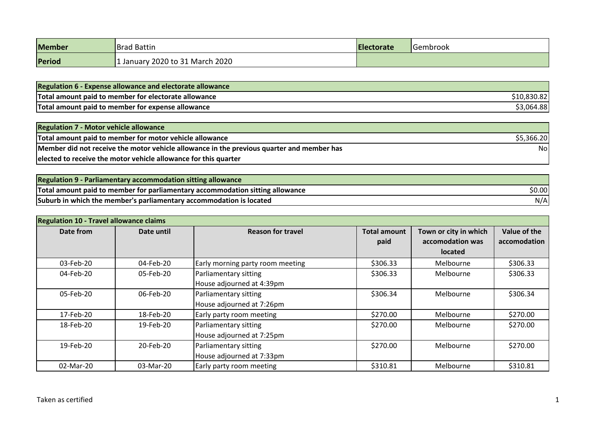| <b>Member</b> | <b>Brad Battin</b>            | <b>Electorate</b> | lGembrook |
|---------------|-------------------------------|-------------------|-----------|
| Period        | Uanuary 2020 to 31 March 2020 |                   |           |

| <b>Regulation 6 - Expense allowance and electorate allowance</b> |            |
|------------------------------------------------------------------|------------|
| Total amount paid to member for electorate allowance             | 10,830.82  |
| Total amount paid to member for expense allowance                | \$3,064.88 |

| <b>Regulation 7 - Motor vehicle allowance</b>                                             |            |
|-------------------------------------------------------------------------------------------|------------|
| Total amount paid to member for motor vehicle allowance                                   | \$5,366.20 |
| Member did not receive the motor vehicle allowance in the previous quarter and member has | Nol        |
| elected to receive the motor vehicle allowance for this quarter                           |            |

| Regulation 9 - Parliamentary accommodation sitting allowance                  |        |
|-------------------------------------------------------------------------------|--------|
| Total amount paid to member for parliamentary accommodation sitting allowance | \$0.00 |
| Suburb in which the member's parliamentary accommodation is located           | N/Al   |

| <b>Regulation 10 - Travel allowance claims</b> |            |                                                    |                             |                                                      |                              |
|------------------------------------------------|------------|----------------------------------------------------|-----------------------------|------------------------------------------------------|------------------------------|
| Date from                                      | Date until | <b>Reason for travel</b>                           | <b>Total amount</b><br>paid | Town or city in which<br>accomodation was<br>located | Value of the<br>accomodation |
| 03-Feb-20                                      | 04-Feb-20  | Early morning party room meeting                   | \$306.33                    | Melbourne                                            | \$306.33                     |
| 04-Feb-20                                      | 05-Feb-20  | Parliamentary sitting<br>House adjourned at 4:39pm | \$306.33                    | Melbourne                                            | \$306.33                     |
| 05-Feb-20                                      | 06-Feb-20  | Parliamentary sitting<br>House adjourned at 7:26pm | \$306.34                    | Melbourne                                            | \$306.34                     |
| 17-Feb-20                                      | 18-Feb-20  | Early party room meeting                           | \$270.00                    | Melbourne                                            | \$270.00                     |
| 18-Feb-20                                      | 19-Feb-20  | Parliamentary sitting<br>House adjourned at 7:25pm | \$270.00                    | Melbourne                                            | \$270.00                     |
| 19-Feb-20                                      | 20-Feb-20  | Parliamentary sitting<br>House adjourned at 7:33pm | \$270.00                    | Melbourne                                            | \$270.00                     |
| 02-Mar-20                                      | 03-Mar-20  | Early party room meeting                           | \$310.81                    | Melbourne                                            | \$310.81                     |